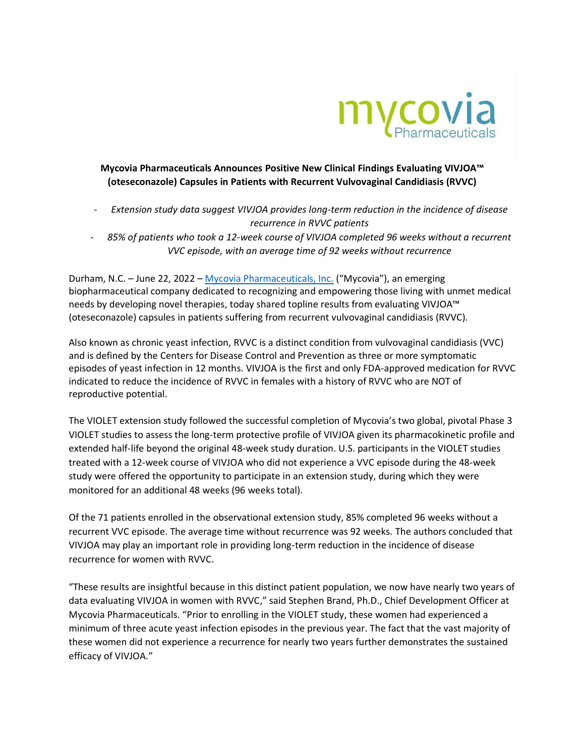

**Mycovia Pharmaceuticals Announces Positive New Clinical Findings Evaluating VIVJOA™ (oteseconazole) Capsules in Patients with Recurrent Vulvovaginal Candidiasis (RVVC)**

- *- Extension study data suggest VIVJOA provides long-term reduction in the incidence of disease recurrence in RVVC patients*
- *- 85% of patients who took a 12-week course of VIVJOA completed 96 weeks without a recurrent VVC episode, with an average time of 92 weeks without recurrence*

Durham, N.C. – June 22, 2022 – [Mycovia Pharmaceuticals, Inc.](https://www.mycovia.com/) ("Mycovia"), an emerging biopharmaceutical company dedicated to recognizing and empowering those living with unmet medical needs by developing novel therapies, today shared topline results from evaluating VIVJOA™ (oteseconazole) capsules in patients suffering from recurrent vulvovaginal candidiasis (RVVC).

Also known as chronic yeast infection, RVVC is a distinct condition from vulvovaginal candidiasis (VVC) and is defined by the Centers for Disease Control and Prevention as three or more symptomatic episodes of yeast infection in 12 months. VIVJOA is the first and only FDA-approved medication for RVVC indicated to reduce the incidence of RVVC in females with a history of RVVC who are NOT of reproductive potential.

The VIOLET extension study followed the successful completion of Mycovia's two global, pivotal Phase 3 VIOLET studies to assess the long-term protective profile of VIVJOA given its pharmacokinetic profile and extended half-life beyond the original 48-week study duration. U.S. participants in the VIOLET studies treated with a 12-week course of VIVJOA who did not experience a VVC episode during the 48-week study were offered the opportunity to participate in an extension study, during which they were monitored for an additional 48 weeks (96 weeks total).

Of the 71 patients enrolled in the observational extension study, 85% completed 96 weeks without a recurrent VVC episode. The average time without recurrence was 92 weeks. The authors concluded that VIVJOA may play an important role in providing long-term reduction in the incidence of disease recurrence for women with RVVC.

"These results are insightful because in this distinct patient population, we now have nearly two years of data evaluating VIVJOA in women with RVVC," said Stephen Brand, Ph.D., Chief Development Officer at Mycovia Pharmaceuticals. "Prior to enrolling in the VIOLET study, these women had experienced a minimum of three acute yeast infection episodes in the previous year. The fact that the vast majority of these women did not experience a recurrence for nearly two years further demonstrates the sustained efficacy of VIVJOA."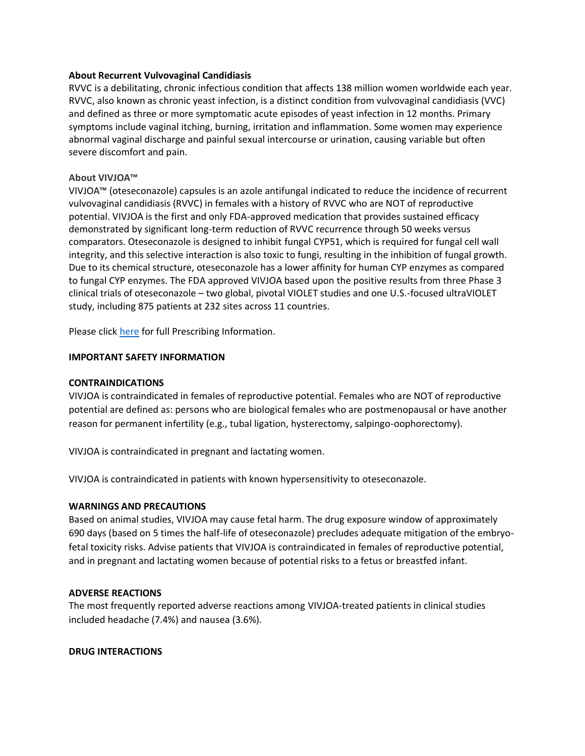#### **About Recurrent Vulvovaginal Candidiasis**

RVVC is a debilitating, chronic infectious condition that affects 138 million women worldwide each year. RVVC, also known as chronic yeast infection, is a distinct condition from vulvovaginal candidiasis (VVC) and defined as three or more symptomatic acute episodes of yeast infection in 12 months. Primary symptoms include vaginal itching, burning, irritation and inflammation. Some women may experience abnormal vaginal discharge and painful sexual intercourse or urination, causing variable but often severe discomfort and pain.

## **About VIVJOA™**

VIVJOA™ (oteseconazole) capsules is an azole antifungal indicated to reduce the incidence of recurrent vulvovaginal candidiasis (RVVC) in females with a history of RVVC who are NOT of reproductive potential. VIVJOA is the first and only FDA-approved medication that provides sustained efficacy demonstrated by significant long-term reduction of RVVC recurrence through 50 weeks versus comparators. Oteseconazole is designed to inhibit fungal CYP51, which is required for fungal cell wall integrity, and this selective interaction is also toxic to fungi, resulting in the inhibition of fungal growth. Due to its chemical structure, oteseconazole has a lower affinity for human CYP enzymes as compared to fungal CYP enzymes. The FDA approved VIVJOA based upon the positive results from three Phase 3 clinical trials of oteseconazole – two global, pivotal VIOLET studies and one U.S.-focused ultraVIOLET study, including 875 patients at 232 sites across 11 countries.

Please click [here](https://vivjoa.com/pdf/VIVJOA-Full-Prescribing-Information.pdf) for full Prescribing Information.

### **IMPORTANT SAFETY INFORMATION**

#### **CONTRAINDICATIONS**

VIVJOA is contraindicated in females of reproductive potential. Females who are NOT of reproductive potential are defined as: persons who are biological females who are postmenopausal or have another reason for permanent infertility (e.g., tubal ligation, hysterectomy, salpingo-oophorectomy).

VIVJOA is contraindicated in pregnant and lactating women.

VIVJOA is contraindicated in patients with known hypersensitivity to oteseconazole.

#### **WARNINGS AND PRECAUTIONS**

Based on animal studies, VIVJOA may cause fetal harm. The drug exposure window of approximately 690 days (based on 5 times the half-life of oteseconazole) precludes adequate mitigation of the embryofetal toxicity risks. Advise patients that VIVJOA is contraindicated in females of reproductive potential, and in pregnant and lactating women because of potential risks to a fetus or breastfed infant.

#### **ADVERSE REACTIONS**

The most frequently reported adverse reactions among VIVJOA-treated patients in clinical studies included headache (7.4%) and nausea (3.6%).

#### **DRUG INTERACTIONS**